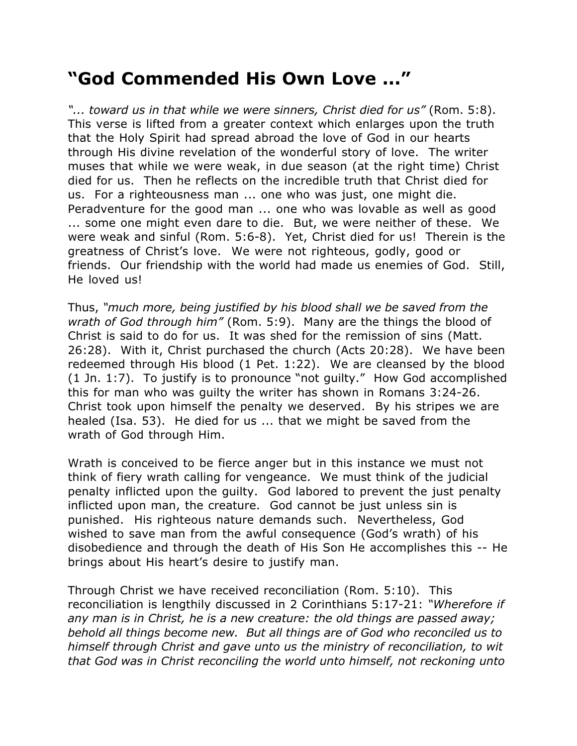## **"God Commended His Own Love ..."**

*"... toward us in that while we were sinners, Christ died for us"* (Rom. 5:8). This verse is lifted from a greater context which enlarges upon the truth that the Holy Spirit had spread abroad the love of God in our hearts through His divine revelation of the wonderful story of love. The writer muses that while we were weak, in due season (at the right time) Christ died for us. Then he reflects on the incredible truth that Christ died for us. For a righteousness man ... one who was just, one might die. Peradventure for the good man ... one who was lovable as well as good ... some one might even dare to die. But, we were neither of these. We were weak and sinful (Rom. 5:6-8). Yet, Christ died for us! Therein is the greatness of Christ's love. We were not righteous, godly, good or friends. Our friendship with the world had made us enemies of God. Still, He loved us!

Thus, *"much more, being justified by his blood shall we be saved from the wrath of God through him"* (Rom. 5:9). Many are the things the blood of Christ is said to do for us. It was shed for the remission of sins (Matt. 26:28). With it, Christ purchased the church (Acts 20:28). We have been redeemed through His blood (1 Pet. 1:22). We are cleansed by the blood (1 Jn. 1:7). To justify is to pronounce "not guilty." How God accomplished this for man who was guilty the writer has shown in Romans 3:24-26. Christ took upon himself the penalty we deserved. By his stripes we are healed (Isa. 53). He died for us ... that we might be saved from the wrath of God through Him.

Wrath is conceived to be fierce anger but in this instance we must not think of fiery wrath calling for vengeance. We must think of the judicial penalty inflicted upon the guilty. God labored to prevent the just penalty inflicted upon man, the creature. God cannot be just unless sin is punished. His righteous nature demands such. Nevertheless, God wished to save man from the awful consequence (God's wrath) of his disobedience and through the death of His Son He accomplishes this -- He brings about His heart's desire to justify man.

Through Christ we have received reconciliation (Rom. 5:10). This reconciliation is lengthily discussed in 2 Corinthians 5:17-21: *"Wherefore if any man is in Christ, he is a new creature: the old things are passed away; behold all things become new. But all things are of God who reconciled us to himself through Christ and gave unto us the ministry of reconciliation, to wit that God was in Christ reconciling the world unto himself, not reckoning unto*